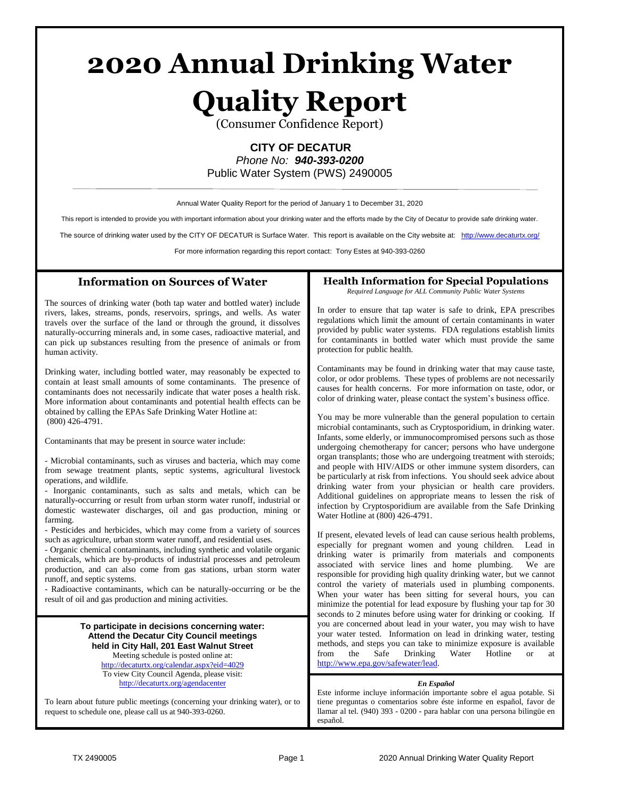# **2020 Annual Drinking Water**

# **Quality Report**

(Consumer Confidence Report)

# **CITY OF DECATUR**

*Phone No: 940-393-0200* Public Water System (PWS) 2490005

Annual Water Quality Report for the period of January 1 to December 31, 2020

This report is intended to provide you with important information about your drinking water and the efforts made by the City of Decatur to provide safe drinking water.

The source of drinking water used by the CITY OF DECATUR is Surface Water. This report is available on the City website at: <http://www.decaturtx.org/>

For more information regarding this report contact: Tony Estes at 940-393-0260

#### **Information on Sources of Water**

The sources of drinking water (both tap water and bottled water) include rivers, lakes, streams, ponds, reservoirs, springs, and wells. As water travels over the surface of the land or through the ground, it dissolves naturally-occurring minerals and, in some cases, radioactive material, and can pick up substances resulting from the presence of animals or from human activity.

Drinking water, including bottled water, may reasonably be expected to contain at least small amounts of some contaminants. The presence of contaminants does not necessarily indicate that water poses a health risk. More information about contaminants and potential health effects can be obtained by calling the EPAs Safe Drinking Water Hotline at: (800) 426-4791.

Contaminants that may be present in source water include:

- Microbial contaminants, such as viruses and bacteria, which may come from sewage treatment plants, septic systems, agricultural livestock operations, and wildlife.

- Inorganic contaminants, such as salts and metals, which can be naturally-occurring or result from urban storm water runoff, industrial or domestic wastewater discharges, oil and gas production, mining or farming.

- Pesticides and herbicides, which may come from a variety of sources such as agriculture, urban storm water runoff, and residential uses.

- Organic chemical contaminants, including synthetic and volatile organic chemicals, which are by-products of industrial processes and petroleum production, and can also come from gas stations, urban storm water runoff, and septic systems.

- Radioactive contaminants, which can be naturally-occurring or be the result of oil and gas production and mining activities.

> **To participate in decisions concerning water: Attend the Decatur City Council meetings held in City Hall, 201 East Walnut Street** Meeting schedule is posted online at: <http://decaturtx.org/calendar.aspx?eid=4029> To view City Council Agenda, please visit: <http://decaturtx.org/agendacenter>

To learn about future public meetings (concerning your drinking water), or to request to schedule one, please call us at 940-393-0260.

## **Health Information for Special Populations**

*Required Language for ALL Community Public Water Systems*

In order to ensure that tap water is safe to drink, EPA prescribes regulations which limit the amount of certain contaminants in water provided by public water systems. FDA regulations establish limits for contaminants in bottled water which must provide the same protection for public health.

Contaminants may be found in drinking water that may cause taste, color, or odor problems. These types of problems are not necessarily causes for health concerns. For more information on taste, odor, or color of drinking water, please contact the system's business office.

You may be more vulnerable than the general population to certain microbial contaminants, such as Cryptosporidium, in drinking water. Infants, some elderly, or immunocompromised persons such as those undergoing chemotherapy for cancer; persons who have undergone organ transplants; those who are undergoing treatment with steroids; and people with HIV/AIDS or other immune system disorders, can be particularly at risk from infections. You should seek advice about drinking water from your physician or health care providers. Additional guidelines on appropriate means to lessen the risk of infection by Cryptosporidium are available from the Safe Drinking Water Hotline at (800) 426-4791.

If present, elevated levels of lead can cause serious health problems, especially for pregnant women and young children. Lead in drinking water is primarily from materials and components associated with service lines and home plumbing. We are responsible for providing high quality drinking water, but we cannot control the variety of materials used in plumbing components. When your water has been sitting for several hours, you can minimize the potential for lead exposure by flushing your tap for 30 seconds to 2 minutes before using water for drinking or cooking. If you are concerned about lead in your water, you may wish to have your water tested. Information on lead in drinking water, testing methods, and steps you can take to minimize exposure is available from the Safe Drinking Water Hotline or at [http://www.epa.gov/safewater/lead.](http://www.epa.gov/safewater/lead)

#### *En Español*

Este informe incluye información importante sobre el agua potable. Si tiene preguntas o comentarios sobre éste informe en español, favor de llamar al tel. (940) 393 - 0200 - para hablar con una persona bilingüe en español.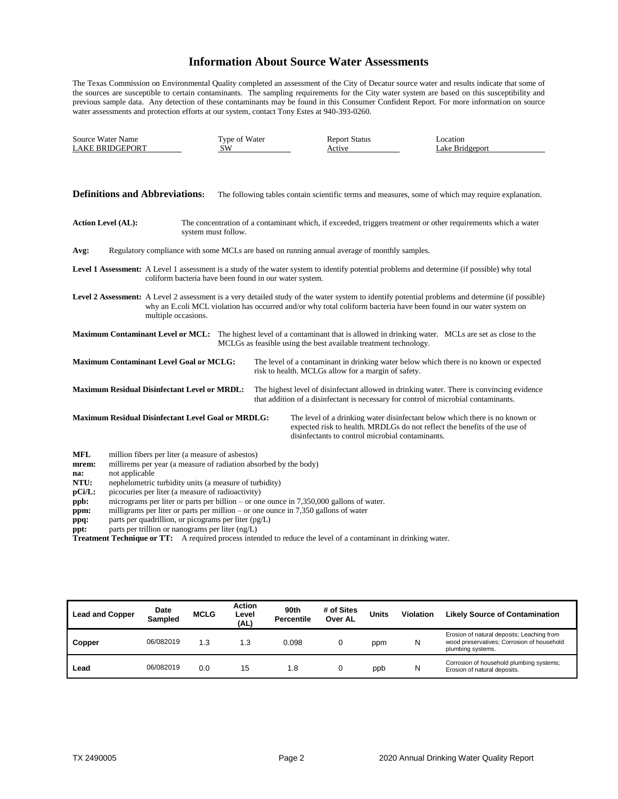### **Information About Source Water Assessments**

The Texas Commission on Environmental Quality completed an assessment of the City of Decatur source water and results indicate that some of the sources are susceptible to certain contaminants. The sampling requirements for the City water system are based on this susceptibility and previous sample data. Any detection of these contaminants may be found in this Consumer Confident Report. For more information on source water assessments and protection efforts at our system, contact Tony Estes at 940-393-0260.

| Source Water Name      | Type of Water | enort Status | .ocatior        |
|------------------------|---------------|--------------|-----------------|
| <b>LAKE BRIDGEPORT</b> | SW            |              | Lake Bridgeport |

|                                                                                                                                                                                                        | <b>Definitions and Abbreviations:</b><br>The following tables contain scientific terms and measures, some of which may require explanation.                                                                                                                                                   |  |  |                                                                                                                                                                                                                 |  |  |  |  |  |
|--------------------------------------------------------------------------------------------------------------------------------------------------------------------------------------------------------|-----------------------------------------------------------------------------------------------------------------------------------------------------------------------------------------------------------------------------------------------------------------------------------------------|--|--|-----------------------------------------------------------------------------------------------------------------------------------------------------------------------------------------------------------------|--|--|--|--|--|
|                                                                                                                                                                                                        | <b>Action Level (AL):</b><br>The concentration of a contaminant which, if exceeded, triggers treatment or other requirements which a water<br>system must follow.                                                                                                                             |  |  |                                                                                                                                                                                                                 |  |  |  |  |  |
| Avg:                                                                                                                                                                                                   | Regulatory compliance with some MCLs are based on running annual average of monthly samples.                                                                                                                                                                                                  |  |  |                                                                                                                                                                                                                 |  |  |  |  |  |
| Level 1 Assessment: A Level 1 assessment is a study of the water system to identify potential problems and determine (if possible) why total<br>coliform bacteria have been found in our water system. |                                                                                                                                                                                                                                                                                               |  |  |                                                                                                                                                                                                                 |  |  |  |  |  |
|                                                                                                                                                                                                        | Level 2 Assessment: A Level 2 assessment is a very detailed study of the water system to identify potential problems and determine (if possible)<br>why an E.coli MCL violation has occurred and/or why total coliform bacteria have been found in our water system on<br>multiple occasions. |  |  |                                                                                                                                                                                                                 |  |  |  |  |  |
|                                                                                                                                                                                                        |                                                                                                                                                                                                                                                                                               |  |  | <b>Maximum Contaminant Level or MCL:</b> The highest level of a contaminant that is allowed in drinking water. MCLs are set as close to the<br>MCLGs as feasible using the best available treatment technology. |  |  |  |  |  |
|                                                                                                                                                                                                        | <b>Maximum Contaminant Level Goal or MCLG:</b>                                                                                                                                                                                                                                                |  |  | The level of a contaminant in drinking water below which there is no known or expected<br>risk to health. MCLGs allow for a margin of safety.                                                                   |  |  |  |  |  |
|                                                                                                                                                                                                        | <b>Maximum Residual Disinfectant Level or MRDL:</b>                                                                                                                                                                                                                                           |  |  | The highest level of disinfectant allowed in drinking water. There is convincing evidence<br>that addition of a disinfectant is necessary for control of microbial contaminants.                                |  |  |  |  |  |
|                                                                                                                                                                                                        | <b>Maximum Residual Disinfectant Level Goal or MRDLG:</b>                                                                                                                                                                                                                                     |  |  | The level of a drinking water disinfectant below which there is no known or<br>expected risk to health. MRDLGs do not reflect the benefits of the use of<br>disinfectants to control microbial contaminants.    |  |  |  |  |  |
| <b>MFL</b><br>mrem:<br>na:<br>NTU:<br>$pCi/L$ :                                                                                                                                                        | million fibers per liter (a measure of asbestos)<br>millirems per year (a measure of radiation absorbed by the body)<br>not applicable<br>nephelometric turbidity units (a measure of turbidity)<br>picocuries per liter (a measure of radioactivity)                                         |  |  |                                                                                                                                                                                                                 |  |  |  |  |  |

- **ppb:** micrograms per liter or parts per billion or one ounce in 7,350,000 gallons of water.
- **ppm:** milligrams per liter or parts per million or one ounce in 7,350 gallons of water
- **ppq:** parts per quadrillion, or picograms per liter (pg/L) ppt: parts per trillion or nanograms per liter (ng/L)
- **ppt:** parts per trillion or nanograms per liter (ng/L)

**Treatment Technique or TT:** A required process intended to reduce the level of a contaminant in drinking water.

| <b>Lead and Copper</b> | Date<br><b>Sampled</b> | <b>MCLG</b> | <b>Action</b><br>Level<br>(AL) | 90th<br><b>Percentile</b> | # of Sites<br><b>Over AL</b> | <b>Units</b> | Violation | <b>Likely Source of Contamination</b>                                                                         |
|------------------------|------------------------|-------------|--------------------------------|---------------------------|------------------------------|--------------|-----------|---------------------------------------------------------------------------------------------------------------|
| Copper                 | 06/082019              | 1.3         | 1.3                            | 0.098                     |                              | ppm          | N         | Erosion of natural deposits; Leaching from<br>wood preservatives; Corrosion of household<br>plumbing systems. |
| Lead                   | 06/082019              | 0.0         | 15                             | .8                        |                              | ppb          | N         | Corrosion of household plumbing systems;<br>Erosion of natural deposits.                                      |